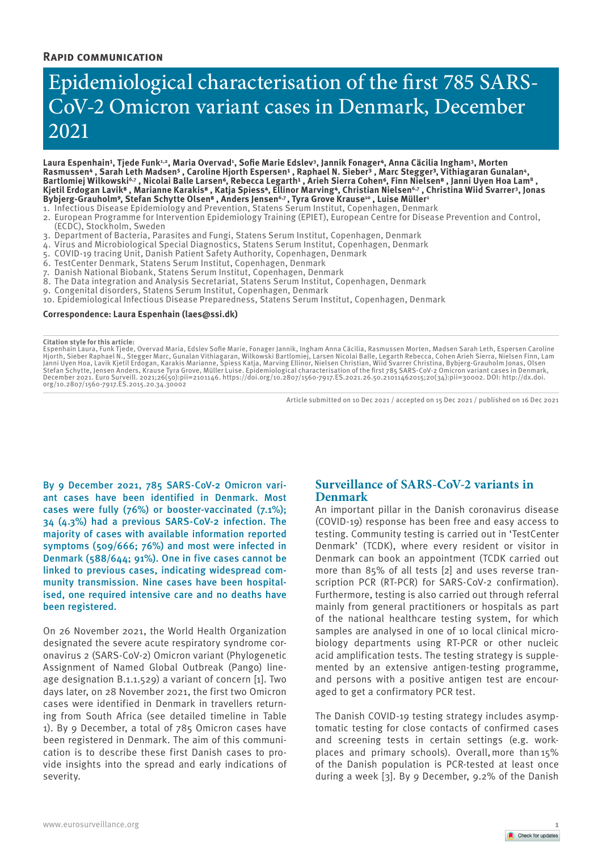# **Rapid communication**

# Epidemiological characterisation of the first 785 SARS-CoV-2 Omicron variant cases in Denmark, December 2021

Laura Espenhain<del>'</del>, Tjede Funk<del>''',</del> Maria Overvad<del>'</del>, Sofie Marie Edslev'', Jannik Fonager<sup>4</sup>, Anna Cäcilia Ingham', Morten Rasmussen<sup>4</sup>, Sarah Leth Madsen<sup>5</sup>, Caroline Hjorth Espersen<sup>1</sup>, Raphael N. Sieber<sup>3</sup>, Marc Stegger<sup>3</sup>, Vithiagaran Gunalan<sup>4</sup>, Bartlomiej Wilkowski<sup>6,7</sup>, Nicolai Balle Larsen<sup>6</sup>, Rebecca Legarth<sup>1</sup>, Arieh Sierra Cohen<sup>6</sup>, Finn Nielsen<sup>8</sup>, Janni Uyen Hoa Lam<sup>8</sup> Kjetil Erdogan Lavik<sup>8</sup>, Marianne Karakis<sup>8</sup>, Katja Spiess<sup>4</sup>, Ellinor Marving<sup>4</sup>, Christian Nielsen<sup>6,7</sup>, Christina Wiid Svarrer<sup>3</sup>, Jonas Bybjerg-Grauholm°, Stefan Schytte Olsen**° , Anders Jensen<sup>6,7</sup> , Tyra Grove Krause**10 , Luise Müller1

- 1. Infectious Disease Epidemiology and Prevention, Statens Serum Institut, Copenhagen, Denmark
- 2. European Programme for Intervention Epidemiology Training (EPIET), European Centre for Disease Prevention and Control, (ECDC), Stockholm, Sweden
- 3. Department of Bacteria, Parasites and Fungi, Statens Serum Institut, Copenhagen, Denmark
- 4. Virus and Microbiological Special Diagnostics, Statens Serum Institut, Copenhagen, Denmark
- 5. COVID-19 tracing Unit, Danish Patient Safety Authority, Copenhagen, Denmark
- 6. TestCenter Denmark, Statens Serum Institut, Copenhagen, Denmark
- 7. Danish National Biobank, Statens Serum Institut, Copenhagen, Denmark
- 8. The Data integration and Analysis Secretariat, Statens Serum Institut, Copenhagen, Denmark
- 9. Congenital disorders, Statens Serum Institut, Copenhagen, Denmark
- 10. Epidemiological Infectious Disease Preparedness, Statens Serum Institut, Copenhagen, Denmark

#### **Correspondence: Laura Espenhain (laes@ssi.dk)**

**Citation style for this article:**<br>Espenhain Laura, Funk Tjede, Overvad Maria, Edslev Sofie Marie, Fonager Jannik, Ingham Anna Cäcilia, Rasmussen Morten, Madsen Sarah Leth, Espersen Caroline<br>Hjorth, Sieber Raphael N., Steg org/10.2807/1560-7917.ES.2015.20.34.30002

Article submitted on 10 Dec 2021 / accepted on 15 Dec 2021 / published on 16 Dec 2021

By 9 December 2021, 785 SARS-CoV-2 Omicron variant cases have been identified in Denmark. Most cases were fully (76%) or booster-vaccinated (7.1%); 34 (4.3%) had a previous SARS-CoV-2 infection. The majority of cases with available information reported symptoms (509/666; 76%) and most were infected in Denmark (588/644; 91%). One in five cases cannot be linked to previous cases, indicating widespread community transmission. Nine cases have been hospitalised, one required intensive care and no deaths have been registered.

On 26 November 2021, the World Health Organization designated the severe acute respiratory syndrome coronavirus 2 (SARS-CoV-2) Omicron variant (Phylogenetic Assignment of Named Global Outbreak (Pango) lineage designation B.1.1.529) a variant of concern [1]. Two days later, on 28 November 2021, the first two Omicron cases were identified in Denmark in travellers returning from South Africa (see detailed timeline in Table 1). By 9 December, a total of 785 Omicron cases have been registered in Denmark. The aim of this communication is to describe these first Danish cases to provide insights into the spread and early indications of severity.

# **Surveillance of SARS-CoV-2 variants in Denmark**

An important pillar in the Danish coronavirus disease (COVID-19) response has been free and easy access to testing. Community testing is carried out in 'TestCenter Denmark' (TCDK), where every resident or visitor in Denmark can book an appointment (TCDK carried out more than 85% of all tests [2] and uses reverse transcription PCR (RT-PCR) for SARS-CoV-2 confirmation). Furthermore, testing is also carried out through referral mainly from general practitioners or hospitals as part of the national healthcare testing system, for which samples are analysed in one of 10 local clinical microbiology departments using RT-PCR or other nucleic acid amplification tests. The testing strategy is supplemented by an extensive antigen-testing programme, and persons with a positive antigen test are encouraged to get a confirmatory PCR test.

The Danish COVID-19 testing strategy includes asymptomatic testing for close contacts of confirmed cases and screening tests in certain settings (e.g. workplaces and primary schools). Overall,more than15% of the Danish population is PCR-tested at least once during a week [3]. By 9 December, 9.2% of the Danish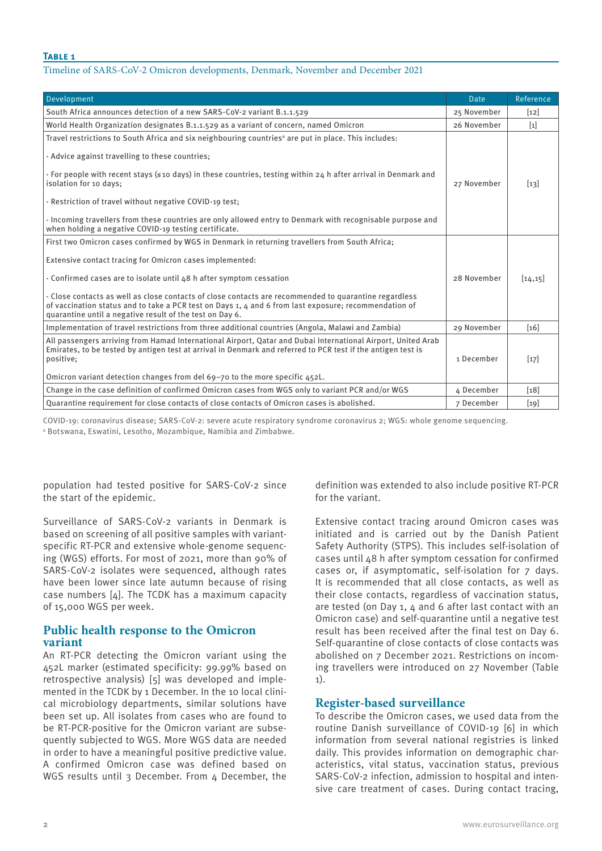## Timeline of SARS-CoV-2 Omicron developments, Denmark, November and December 2021

| Development                                                                                                                                                                                                                                                                                                                                                                                                                                                                                                                                              | <b>Date</b> | Reference |
|----------------------------------------------------------------------------------------------------------------------------------------------------------------------------------------------------------------------------------------------------------------------------------------------------------------------------------------------------------------------------------------------------------------------------------------------------------------------------------------------------------------------------------------------------------|-------------|-----------|
| South Africa announces detection of a new SARS-CoV-2 variant B.1.1.529                                                                                                                                                                                                                                                                                                                                                                                                                                                                                   | 25 November | $[12]$    |
| World Health Organization designates B.1.1.529 as a variant of concern, named Omicron                                                                                                                                                                                                                                                                                                                                                                                                                                                                    | 26 November | $[1]$     |
| Travel restrictions to South Africa and six neighbouring countries <sup>a</sup> are put in place. This includes:<br>- Advice against travelling to these countries;<br>- For people with recent stays ( $\leq$ 10 days) in these countries, testing within 24 h after arrival in Denmark and<br>isolation for 10 days;<br>- Restriction of travel without negative COVID-19 test;<br>- Incoming travellers from these countries are only allowed entry to Denmark with recognisable purpose and<br>when holding a negative COVID-19 testing certificate. | 27 November | $[13]$    |
| First two Omicron cases confirmed by WGS in Denmark in returning travellers from South Africa;<br>Extensive contact tracing for Omicron cases implemented:<br>- Confirmed cases are to isolate until 48 h after symptom cessation<br>- Close contacts as well as close contacts of close contacts are recommended to quarantine regardless<br>of vaccination status and to take a PCR test on Days 1, 4 and 6 from last exposure; recommendation of<br>quarantine until a negative result of the test on Day 6.                                          | 28 November | [14, 15]  |
| Implementation of travel restrictions from three additional countries (Angola, Malawi and Zambia)                                                                                                                                                                                                                                                                                                                                                                                                                                                        | 29 November | [16]      |
| All passengers arriving from Hamad International Airport, Qatar and Dubai International Airport, United Arab<br>Emirates, to be tested by antigen test at arrival in Denmark and referred to PCR test if the antigen test is<br>positive;<br>Omicron variant detection changes from del 69-70 to the more specific 452L.                                                                                                                                                                                                                                 | 1 December  | $[17]$    |
| Change in the case definition of confirmed Omicron cases from WGS only to variant PCR and/or WGS                                                                                                                                                                                                                                                                                                                                                                                                                                                         | 4 December  | [18]      |
| Quarantine requirement for close contacts of close contacts of Omicron cases is abolished.                                                                                                                                                                                                                                                                                                                                                                                                                                                               | 7 December  | $[19]$    |

COVID-19: coronavirus disease; SARS-CoV-2: severe acute respiratory syndrome coronavirus 2; WGS: whole genome sequencing. a Botswana, Eswatini, Lesotho, Mozambique, Namibia and Zimbabwe.

population had tested positive for SARS-CoV-2 since the start of the epidemic.

Surveillance of SARS-CoV-2 variants in Denmark is based on screening of all positive samples with variantspecific RT-PCR and extensive whole-genome sequencing (WGS) efforts. For most of 2021, more than 90% of SARS-CoV-2 isolates were sequenced, although rates have been lower since late autumn because of rising case numbers [4]. The TCDK has a maximum capacity of 15,000 WGS per week.

# **Public health response to the Omicron variant**

An RT-PCR detecting the Omicron variant using the 452L marker (estimated specificity: 99.99% based on retrospective analysis) [5] was developed and implemented in the TCDK by 1 December. In the 10 local clinical microbiology departments, similar solutions have been set up. All isolates from cases who are found to be RT-PCR-positive for the Omicron variant are subsequently subjected to WGS. More WGS data are needed in order to have a meaningful positive predictive value. A confirmed Omicron case was defined based on WGS results until 3 December. From 4 December, the definition was extended to also include positive RT-PCR for the variant.

Extensive contact tracing around Omicron cases was initiated and is carried out by the Danish Patient Safety Authority (STPS). This includes self-isolation of cases until 48 h after symptom cessation for confirmed cases or, if asymptomatic, self-isolation for 7 days. It is recommended that all close contacts, as well as their close contacts, regardless of vaccination status, are tested (on Day 1,  $\Delta$  and 6 after last contact with an Omicron case) and self-quarantine until a negative test result has been received after the final test on Day 6. Self-quarantine of close contacts of close contacts was abolished on 7 December 2021. Restrictions on incoming travellers were introduced on 27 November (Table 1).

# **Register-based surveillance**

To describe the Omicron cases, we used data from the routine Danish surveillance of COVID-19 [6] in which information from several national registries is linked daily. This provides information on demographic characteristics, vital status, vaccination status, previous SARS-CoV-2 infection, admission to hospital and intensive care treatment of cases. During contact tracing,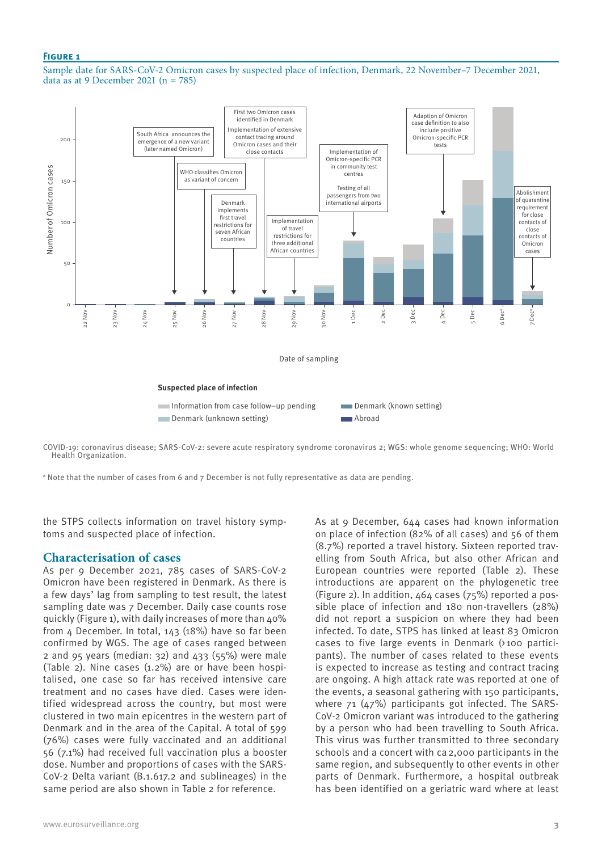## **Figure 1**

Sample date for SARS-CoV-2 Omicron cases by suspected place of infection, Denmark, 22 November–7 December 2021, data as at 9 December 2021 ( $n = 785$ )



COVID-19: coronavirus disease; SARS-CoV-2: severe acute respiratory syndrome coronavirus 2; WGS: whole genome sequencing; WHO: World Health Organization.

 $\texttt{a}$  Note that the number of cases from 6 and 7 December is not fully representative as data are pending.

the STPS collects information on travel history symptoms and suspected place of infection.

# **Characterisation of cases**

As per 9 December 2021, 785 cases of SARS-CoV-2 Omicron have been registered in Denmark. As there is a few days' lag from sampling to test result, the latest sampling date was 7 December. Daily case counts rose quickly (Figure 1), with daily increases of more than 40% from 4 December. In total, 143 (18%) have so far been confirmed by WGS. The age of cases ranged between 2 and 95 years (median:  $32)$  and  $433$  ( $55\%$ ) were male (Table 2). Nine cases (1.2%) are or have been hospitalised, one case so far has received intensive care treatment and no cases have died. Cases were identified widespread across the country, but most were clustered in two main epicentres in the western part of Denmark and in the area of the Capital. A total of 599 (76%) cases were fully vaccinated and an additional 56 (7.1%) had received full vaccination plus a booster dose. Number and proportions of cases with the SARS-CoV-2 Delta variant (B.1.617.2 and sublineages) in the same period are also shown in Table 2 for reference.

As at 9 December, 644 cases had known information on place of infection (82% of all cases) and 56 of them (8.7%) reported a travel history. Sixteen reported travelling from South Africa, but also other African and European countries were reported (Table 2). These introductions are apparent on the phylogenetic tree (Figure 2). In addition, 464 cases (75%) reported a possible place of infection and 180 non-travellers (28%) did not report a suspicion on where they had been infected. To date, STPS has linked at least 83 Omicron cases to five large events in Denmark (>100 participants). The number of cases related to these events is expected to increase as testing and contract tracing are ongoing. A high attack rate was reported at one of the events, a seasonal gathering with 150 participants, where 71 (47%) participants got infected. The SARS-CoV-2 Omicron variant was introduced to the gathering by a person who had been travelling to South Africa. This virus was further transmitted to three secondary schools and a concert with ca2,000 participants in the same region, and subsequently to other events in other parts of Denmark. Furthermore, a hospital outbreak has been identified on a geriatric ward where at least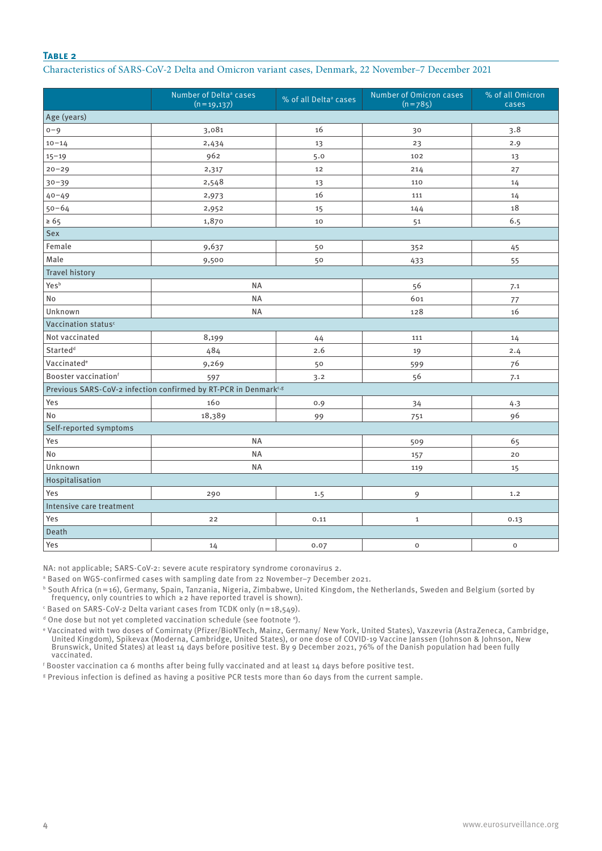## **Table 2**

## Characteristics of SARS-CoV-2 Delta and Omicron variant cases, Denmark, 22 November–7 December 2021

|                                                                             | Number of Delta <sup>ª</sup> cases<br>$(n=19,137)$ | % of all Delta <sup>ª</sup> cases | Number of Omicron cases<br>$(n = 785)$ | % of all Omicron<br>cases |  |  |
|-----------------------------------------------------------------------------|----------------------------------------------------|-----------------------------------|----------------------------------------|---------------------------|--|--|
| Age (years)                                                                 |                                                    |                                   |                                        |                           |  |  |
| $0 - 9$                                                                     | 3,081                                              | 16                                | 30                                     | 3.8                       |  |  |
| $10 - 14$                                                                   | 2,434                                              | 13                                | 23                                     | 2.9                       |  |  |
| $15 - 19$                                                                   | 962                                                | 5.0                               | 102                                    | 13                        |  |  |
| $20 - 29$                                                                   | 2,317                                              | 12                                | 214                                    | 27                        |  |  |
| $30 - 39$                                                                   | 2,548                                              | 13                                | 110                                    | 14                        |  |  |
| $40 - 49$                                                                   | 2,973                                              | 16                                | 111                                    | 14                        |  |  |
| $50 - 64$                                                                   | 2,952                                              | 15                                | 144                                    | 18                        |  |  |
| $\geq 65$                                                                   | 1,870                                              | 10                                | 51                                     | 6.5                       |  |  |
| Sex                                                                         |                                                    |                                   |                                        |                           |  |  |
| Female                                                                      | 9,637                                              | 50                                | 352                                    | 45                        |  |  |
| Male                                                                        | 9,500                                              | 50                                | 433                                    | 55                        |  |  |
| <b>Travel history</b>                                                       |                                                    |                                   |                                        |                           |  |  |
| Yesb                                                                        | <b>NA</b>                                          |                                   | 56                                     | 7.1                       |  |  |
| No                                                                          | NA                                                 |                                   | 601                                    | $77 \,$                   |  |  |
| Unknown                                                                     | <b>NA</b>                                          |                                   | 128                                    | 16                        |  |  |
| Vaccination status <sup>c</sup>                                             |                                                    |                                   |                                        |                           |  |  |
| Not vaccinated                                                              | 8,199                                              | 44                                | 111                                    | 14                        |  |  |
| Started <sup>d</sup>                                                        | 484                                                | 2.6                               | 19                                     | 2.4                       |  |  |
| Vaccinated <sup>e</sup>                                                     | 9,269                                              | 50                                | 599                                    | 76                        |  |  |
| Booster vaccinationf                                                        | 597                                                | 3.2                               | 56                                     | 7.1                       |  |  |
| Previous SARS-CoV-2 infection confirmed by RT-PCR in Denmark <sup>c,g</sup> |                                                    |                                   |                                        |                           |  |  |
| Yes                                                                         | 160                                                | 0.9                               | 34                                     | 4.3                       |  |  |
| No                                                                          | 18,389                                             | 99                                | 751                                    | 96                        |  |  |
| Self-reported symptoms                                                      |                                                    |                                   |                                        |                           |  |  |
| Yes                                                                         | <b>NA</b>                                          |                                   | 509                                    | 65                        |  |  |
| No                                                                          | <b>NA</b>                                          |                                   | 157                                    | 20                        |  |  |
| Unknown                                                                     | <b>NA</b>                                          |                                   | 119                                    | 15                        |  |  |
| Hospitalisation                                                             |                                                    |                                   |                                        |                           |  |  |
| Yes                                                                         | 290                                                | 1.5                               | 9                                      | 1.2                       |  |  |
| Intensive care treatment                                                    |                                                    |                                   |                                        |                           |  |  |
| Yes                                                                         | 22                                                 | 0.11                              | $\mathbf{1}$                           | 0.13                      |  |  |
| Death                                                                       |                                                    |                                   |                                        |                           |  |  |
| Yes                                                                         | 14                                                 | 0.07                              | $\mathsf{o}\xspace$                    | $\mathsf{O}\xspace$       |  |  |

NA: not applicable; SARS-CoV-2: severe acute respiratory syndrome coronavirus 2.

a Based on WGS-confirmed cases with sampling date from 22 November–7 December 2021.

b South Africa (n=16), Germany, Spain, Tanzania, Nigeria, Zimbabwe, United Kingdom, the Netherlands, Sweden and Belgium (sorted by frequency, only countries to which ≥2 have reported travel is shown).

 $\epsilon$  Based on SARS-CoV-2 Delta variant cases from TCDK only (n=18,549).

d One dose but not yet completed vaccination schedule (see footnote <sup>e</sup>).

e Vaccinated with two doses of Comirnaty (Pfizer/BioNTech, Mainz, Germany/ New York, United States), Vaxzevria (AstraZeneca, Cambridge, United Kingdom), Spikevax (Moderna, Cambridge, United States), or one dose of COVID-19 Vaccine Janssen (Johnson & Johnson, New Brunswick, United States) at least 14 days before positive test. By 9 December 2021, 76% of the Danish population had been fully vaccinated.

f Booster vaccination ca 6 months after being fully vaccinated and at least 14 days before positive test.

 $\,$  Previous infection is defined as having a positive PCR tests more than 60 days from the current sample.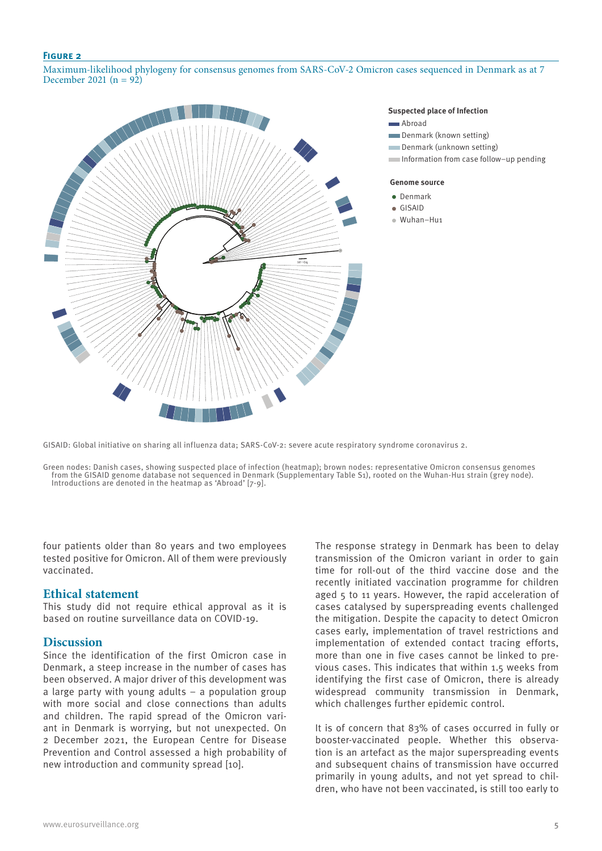## **Figure 2**

Maximum-likelihood phylogeny for consensus genomes from SARS-CoV-2 Omicron cases sequenced in Denmark as at 7 December 2021 ( $n = 92$ )



#### **Suspected place of Infection**

- **Abroad**
- **Denmark (known setting)**
- Denmark (unknown setting)
- Information from case follow−up pending

#### **Genome source**

- **•** Denmark
- GISAID
- Wuhan−Hu1

GISAID: Global initiative on sharing all influenza data; SARS-CoV-2: severe acute respiratory syndrome coronavirus 2.

Green nodes: Danish cases, showing suspected place of infection (heatmap); brown nodes: representative Omicron consensus genomes from the GISAID genome database not sequenced in Denmark (Supplementary Table S1), rooted on the Wuhan-Hu1 strain (grey node). Introductions are denoted in the heatmap as 'Abroad' [7-9].

four patients older than 80 years and two employees tested positive for Omicron. All of them were previously vaccinated.

## **Ethical statement**

This study did not require ethical approval as it is based on routine surveillance data on COVID-19.

## **Discussion**

Since the identification of the first Omicron case in Denmark, a steep increase in the number of cases has been observed. A major driver of this development was a large party with young adults – a population group with more social and close connections than adults and children. The rapid spread of the Omicron variant in Denmark is worrying, but not unexpected. On 2 December 2021, the European Centre for Disease Prevention and Control assessed a high probability of new introduction and community spread [10].

The response strategy in Denmark has been to delay transmission of the Omicron variant in order to gain time for roll-out of the third vaccine dose and the recently initiated vaccination programme for children aged 5 to 11 years. However, the rapid acceleration of cases catalysed by superspreading events challenged the mitigation. Despite the capacity to detect Omicron cases early, implementation of travel restrictions and implementation of extended contact tracing efforts, more than one in five cases cannot be linked to previous cases. This indicates that within 1.5 weeks from identifying the first case of Omicron, there is already widespread community transmission in Denmark, which challenges further epidemic control.

It is of concern that 83% of cases occurred in fully or booster-vaccinated people. Whether this observation is an artefact as the major superspreading events and subsequent chains of transmission have occurred primarily in young adults, and not yet spread to children, who have not been vaccinated, is still too early to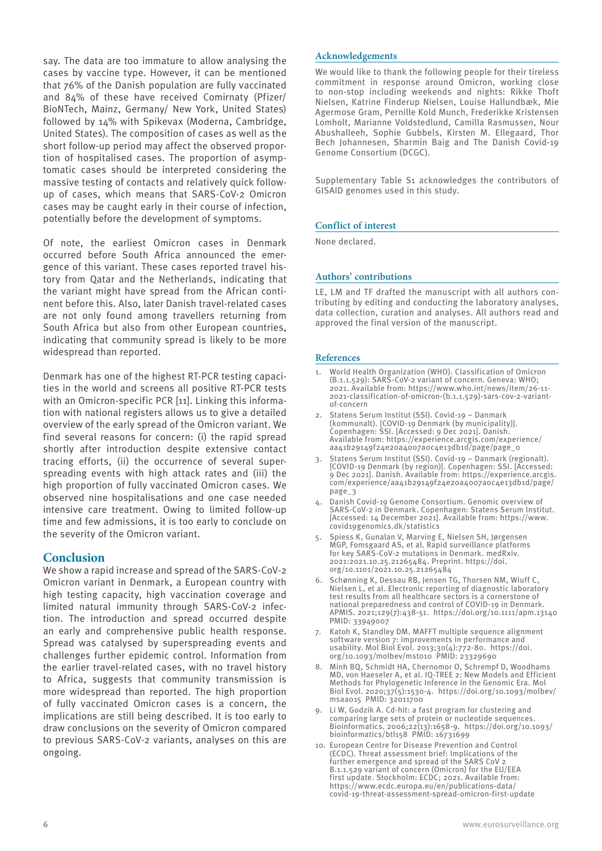say. The data are too immature to allow analysing the cases by vaccine type. However, it can be mentioned that 76% of the Danish population are fully vaccinated and 84% of these have received Comirnaty (Pfizer/ BioNTech, Mainz, Germany/ New York, United States) followed by 14% with Spikevax (Moderna, Cambridge, United States). The composition of cases as well as the short follow-up period may affect the observed proportion of hospitalised cases. The proportion of asymptomatic cases should be interpreted considering the massive testing of contacts and relatively quick followup of cases, which means that SARS-CoV-2 Omicron cases may be caught early in their course of infection, potentially before the development of symptoms.

Of note, the earliest Omicron cases in Denmark occurred before South Africa announced the emergence of this variant. These cases reported travel history from Qatar and the Netherlands, indicating that the variant might have spread from the African continent before this. Also, later Danish travel-related cases are not only found among travellers returning from South Africa but also from other European countries, indicating that community spread is likely to be more widespread than reported.

Denmark has one of the highest RT-PCR testing capacities in the world and screens all positive RT-PCR tests with an Omicron-specific PCR [11]. Linking this information with national registers allows us to give a detailed overview of the early spread of the Omicron variant. We find several reasons for concern: (i) the rapid spread shortly after introduction despite extensive contact tracing efforts, (ii) the occurrence of several superspreading events with high attack rates and (iii) the high proportion of fully vaccinated Omicron cases. We observed nine hospitalisations and one case needed intensive care treatment. Owing to limited follow-up time and few admissions, it is too early to conclude on the severity of the Omicron variant.

# **Conclusion**

We show a rapid increase and spread of the SARS-CoV-2 Omicron variant in Denmark, a European country with high testing capacity, high vaccination coverage and limited natural immunity through SARS-CoV-2 infection. The introduction and spread occurred despite an early and comprehensive public health response. Spread was catalysed by superspreading events and challenges further epidemic control. Information from the earlier travel-related cases, with no travel history to Africa, suggests that community transmission is more widespread than reported. The high proportion of fully vaccinated Omicron cases is a concern, the implications are still being described. It is too early to draw conclusions on the severity of Omicron compared to previous SARS-CoV-2 variants, analyses on this are ongoing.

## **Acknowledgements**

We would like to thank the following people for their tireless commitment in response around Omicron, working close to non-stop including weekends and nights: Rikke Thoft Nielsen, Katrine Finderup Nielsen, Louise Hallundbæk, Mie Agermose Gram, Pernille Kold Munch, Frederikke Kristensen Lomholt, Marianne Voldstedlund, Camilla Rasmussen, Nour Abushalleeh, Sophie Gubbels, Kirsten M. Ellegaard, Thor Bech Johannesen, Sharmin Baig and The Danish Covid-19 Genome Consortium (DCGC).

Supplementary Table S1 acknowledges the contributors of GISAID genomes used in this study.

## **Conflict of interest**

None declared.

## **Authors' contributions**

LE, LM and TF drafted the manuscript with all authors contributing by editing and conducting the laboratory analyses, data collection, curation and analyses. All authors read and approved the final version of the manuscript.

## **References**

- 1. World Health Organization (WHO). Classification of Omicron (B.1.1.529): SARS-CoV-2 variant of concern. Geneva: WHO; 2021. Available from: https://www.who.int/news/item/26-11- 2021-classification-of-omicron-(b.1.1.529)-sars-cov-2-variantof-concern
- 2. Statens Serum Institut (SSI). Covid-19 Danmark (kommunalt). [COVID-19 Denmark (by municipality)]. Copenhagen: SSI. [Accessed: 9 Dec 2021]. Danish. Available from: https://experience.arcgis.com/experience/ aa41b29149f24e20a4007a0c4e13db1d/page/page\_0
- Statens Serum Institut (SSI). Covid-19 Danmark (regionalt). [COVID-19 Denmark (by region)]. Copenhagen: SSI. [Accessed: 9 Dec 2021]. Danish. Available from: https://experience.arcgis. com/experience/aa41b29149f24e20a4007a0c4e13db1d/page/ page\_3
- 4. Danish Covid-19 Genome Consortium. Genomic overview of SARS-CoV-2 in Denmark. Copenhagen: Statens Serum Institut. [Accessed: 14 December 2021]. Available from: https://www. covid19genomics.dk/statistics
- 5. Spiess K, Gunalan V, Marving E, Nielsen SH, Jørgensen MGP, Fomsgaard AS, et al. Rapid surveillance platforms for key SARS-CoV-2 mutations in Denmark. medRxiv. 2021:2021.10.25.21265484. Preprint. https://doi. org/10.1101/2021.10.25.21265484
- 6. Schønning K, Dessau RB, Jensen TG, Thorsen NM, Wiuff C, Nielsen L, et al. Electronic reporting of diagnostic laboratory test results from all healthcare sectors is a cornerstone of national preparedness and control of COVID-19 in Denmark. APMIS. 2021;129(7):438-51. https://doi.org/10.1111/apm.13140 PMID: 33949007
- 7. Katoh K, Standley DM. MAFFT multiple sequence alignment software version 7: improvements in performance and usability. Mol Biol Evol. 2013;30(4):772-80. https://doi. org/10.1093/molbev/mst010 PMID: 23329690
- 8. Minh BQ, Schmidt HA, Chernomor O, Schrempf D, Woodhams MD, von Haeseler A, et al. IQ-TREE 2: New Models and Efficient Methods for Phylogenetic Inference in the Genomic Era. Mol Biol Evol. 2020;37(5):1530-4. https://doi.org/10.1093/molbev/ msaa015 PMID: 32011700
- 9. Li W, Godzik A. Cd-hit: a fast program for clustering and comparing large sets of protein or nucleotide sequences. Bioinformatics. 2006;22(13):1658-9. https://doi.org/10.1093/ bioinformatics/btl158 PMID: 16731699
- 10. European Centre for Disease Prevention and Control (ECDC). Threat assessment brief: Implications of the further emergence and spread of the SARS CoV 2 B.1.1.529 variant of concern (Omicron) for the EU/EEA first update. Stockholm: ECDC; 2021. Available from: https://www.ecdc.europa.eu/en/publications-data/ covid-19-threat-assessment-spread-omicron-first-update